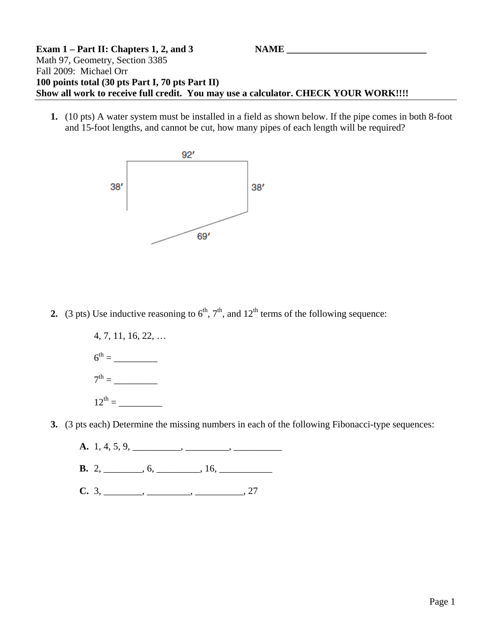## **Exam 1 – Part II: Chapters 1, 2, and 3 NAME** Math 97, Geometry, Section 3385 Fall 2009: Michael Orr **100 points total (30 pts Part I, 70 pts Part II) Show all work to receive full credit. You may use a calculator. CHECK YOUR WORK!!!!**

**1.** (10 pts) A water system must be installed in a field as shown below. If the pipe comes in both 8-foot and 15-foot lengths, and cannot be cut, how many pipes of each length will be required?



**2.** (3 pts) Use inductive reasoning to  $6<sup>th</sup>$ ,  $7<sup>th</sup>$ , and  $12<sup>th</sup>$  terms of the following sequence:



**3.** (3 pts each) Determine the missing numbers in each of the following Fibonacci-type sequences:



- **B.** 2, \_\_\_\_\_\_, 6, \_\_\_\_\_\_, 16, \_\_\_\_\_\_\_\_\_
- **C.** 3, \_\_\_\_\_\_\_, \_\_\_\_\_\_\_, \_\_\_\_\_\_\_, 27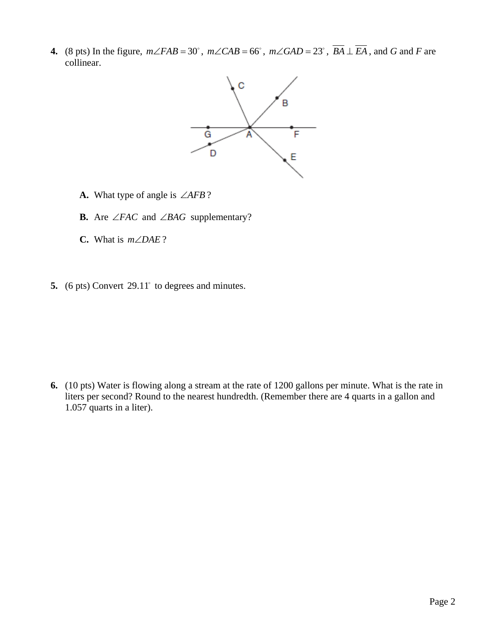**4.** (8 pts) In the figure,  $m\angle FAB = 30^\circ$ ,  $m\angle CAB = 66^\circ$ ,  $m\angle GAD = 23^\circ$ ,  $\overline{BA} \perp \overline{EA}$ , and *G* and *F* are collinear.



- **A.** What type of angle is ∠*AFB* ?
- **B.** Are ∠*FAC* and ∠*BAG* supplementary?
- **C.** What is  $m \angle DAE$ ?
- 5.  $(6 \text{ pts})$  Convert  $29.11^{\circ}$  to degrees and minutes.

**6.** (10 pts) Water is flowing along a stream at the rate of 1200 gallons per minute. What is the rate in liters per second? Round to the nearest hundredth. (Remember there are 4 quarts in a gallon and 1.057 quarts in a liter).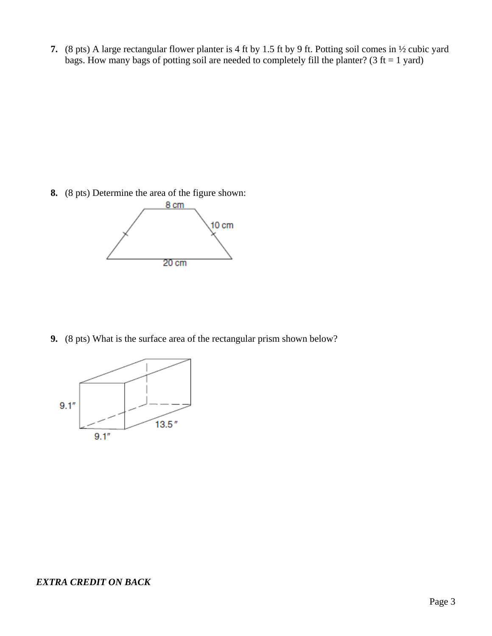**7.** (8 pts) A large rectangular flower planter is 4 ft by 1.5 ft by 9 ft. Potting soil comes in ½ cubic yard bags. How many bags of potting soil are needed to completely fill the planter? (3 ft = 1 yard)

**8.** (8 pts) Determine the area of the figure shown:



**9.** (8 pts) What is the surface area of the rectangular prism shown below?